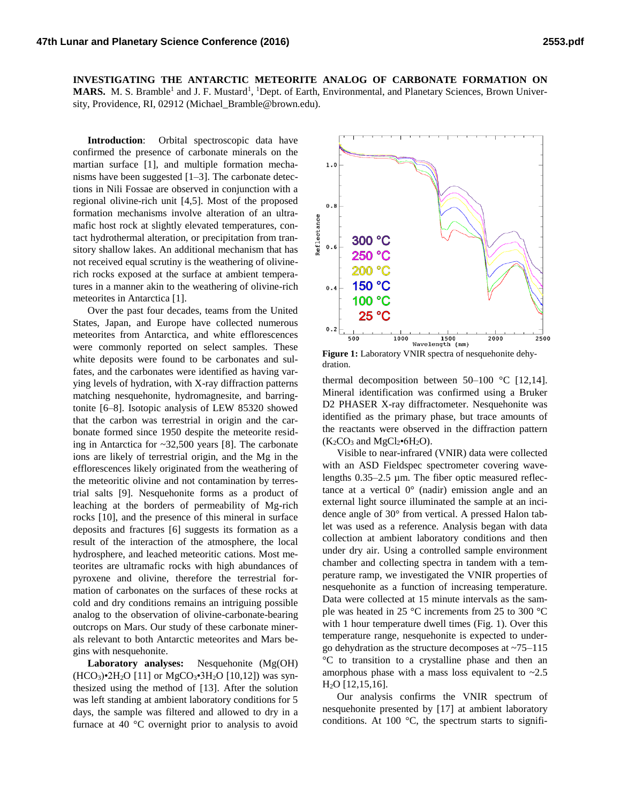**INVESTIGATING THE ANTARCTIC METEORITE ANALOG OF CARBONATE FORMATION ON MARS.** M. S. Bramble<sup>1</sup> and J. F. Mustard<sup>1</sup>, <sup>1</sup>Dept. of Earth, Environmental, and Planetary Sciences, Brown University, Providence, RI, 02912 (Michael Bramble@brown.edu).

**Introduction**: Orbital spectroscopic data have confirmed the presence of carbonate minerals on the martian surface [1], and multiple formation mechanisms have been suggested [1–3]. The carbonate detections in Nili Fossae are observed in conjunction with a regional olivine-rich unit [4,5]. Most of the proposed formation mechanisms involve alteration of an ultramafic host rock at slightly elevated temperatures, contact hydrothermal alteration, or precipitation from transitory shallow lakes. An additional mechanism that has not received equal scrutiny is the weathering of olivinerich rocks exposed at the surface at ambient temperatures in a manner akin to the weathering of olivine-rich meteorites in Antarctica [1].

Over the past four decades, teams from the United States, Japan, and Europe have collected numerous meteorites from Antarctica, and white efflorescences were commonly reported on select samples. These white deposits were found to be carbonates and sulfates, and the carbonates were identified as having varying levels of hydration, with X-ray diffraction patterns matching nesquehonite, hydromagnesite, and barringtonite [6–8]. Isotopic analysis of LEW 85320 showed that the carbon was terrestrial in origin and the carbonate formed since 1950 despite the meteorite residing in Antarctica for ~32,500 years [8]. The carbonate ions are likely of terrestrial origin, and the Mg in the efflorescences likely originated from the weathering of the meteoritic olivine and not contamination by terrestrial salts [9]. Nesquehonite forms as a product of leaching at the borders of permeability of Mg-rich rocks [10], and the presence of this mineral in surface deposits and fractures [6] suggests its formation as a result of the interaction of the atmosphere, the local hydrosphere, and leached meteoritic cations. Most meteorites are ultramafic rocks with high abundances of pyroxene and olivine, therefore the terrestrial formation of carbonates on the surfaces of these rocks at cold and dry conditions remains an intriguing possible analog to the observation of olivine-carbonate-bearing outcrops on Mars. Our study of these carbonate minerals relevant to both Antarctic meteorites and Mars begins with nesquehonite.

**Laboratory analyses:** Nesquehonite (Mg(OH)  $(HCO<sub>3</sub>)•2H<sub>2</sub>O [11] or MgCO<sub>3</sub>•3H<sub>2</sub>O [10,12]) was syn$ thesized using the method of [13]. After the solution was left standing at ambient laboratory conditions for 5 days, the sample was filtered and allowed to dry in a furnace at 40 °C overnight prior to analysis to avoid



**Figure 1:** Laboratory VNIR spectra of nesquehonite dehydration.

thermal decomposition between  $50-100$  °C [12,14]. Mineral identification was confirmed using a Bruker D2 PHASER X-ray diffractometer. Nesquehonite was identified as the primary phase, but trace amounts of the reactants were observed in the diffraction pattern  $(K_2CO_3$  and  $MgCl_2 \cdot 6H_2O$ ).

Visible to near-infrared (VNIR) data were collected with an ASD Fieldspec spectrometer covering wavelengths 0.35–2.5 µm. The fiber optic measured reflectance at a vertical  $0^{\circ}$  (nadir) emission angle and an external light source illuminated the sample at an incidence angle of 30° from vertical. A pressed Halon tablet was used as a reference. Analysis began with data collection at ambient laboratory conditions and then under dry air. Using a controlled sample environment chamber and collecting spectra in tandem with a temperature ramp, we investigated the VNIR properties of nesquehonite as a function of increasing temperature. Data were collected at 15 minute intervals as the sample was heated in 25 °C increments from 25 to 300 °C with 1 hour temperature dwell times (Fig. 1). Over this temperature range, nesquehonite is expected to undergo dehydration as the structure decomposes at ~75–115 °C to transition to a crystalline phase and then an amorphous phase with a mass loss equivalent to  $\sim 2.5$ H2O [12,15,16].

Our analysis confirms the VNIR spectrum of nesquehonite presented by [17] at ambient laboratory conditions. At 100  $^{\circ}$ C, the spectrum starts to signifi